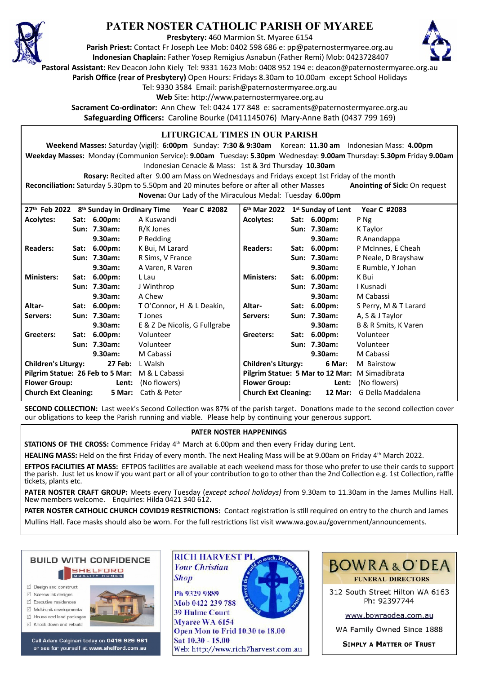

# **PATER NOSTER CATHOLIC PARISH OF MYAREE**

**Presbytery:** 460 Marmion St. Myaree 6154

**Parish Priest:** Contact Fr Joseph Lee Mob: 0402 598 686 e: pp@paternostermyaree.org.au **Indonesian Chaplain:** Father Yosep Remigius Asnabun (Father Remi) Mob: 0423728407



**Pastoral Assistant:** Rev Deacon John Kiely Tel: 9331 1623 Mob: 0408 952 194 e: deacon@paternostermyaree.org.au

**Parish Office (rear of Presbytery)** Open Hours: Fridays 8.30am to 10.00am except School Holidays

Tel: 9330 3584 Email: parish@paternostermyaree.org.au

Web Site: http://www.paternostermyaree.org.au

**Sacrament Co-ordinator:** Ann Chew Tel: 0424 177 848 e: sacraments@paternostermyaree.org.au **Safeguarding Officers:** Caroline Bourke (0411145076) Mary-Anne Bath (0437 799 169)

### **LITURGICAL TIMES IN OUR PARISH**

**Weekend Masses:** Saturday (vigil): **6:00pm** Sunday: **7:30 & 9:30am** Korean: **11.30 am** Indonesian Mass: **4.00pm Weekday Masses:** Monday (Communion Service): **9.00am** Tuesday: **5.30pm** Wednesday: **9.00am** Thursday: **5.30pm** Friday **9.00am** Indonesian Cenacle & Mass: 1st & 3rd Thursday **10.30am**

**Rosary:** Recited a�er 9.00 am Mass on Wednesdays and Fridays except 1st Friday of the month Reconciliation: Saturday 5.30pm to 5.50pm and 20 minutes before or after all other Masses **Anointing of Sick:** On request **Novena:** Our Lady of the Miraculous Medal: Tuesday **6.00pm**

**27th Feb 2022 8th Sunday in Ordinary Time Year C #2082 Acolytes: Sat: 6.00pm:** A Kuswandi **Sun: 7.30am:** R/K Jones **9.30am:** P Redding **Readers: Sat: 6.00pm:** K Bui, M Larard **Sun: 7.30am:** R Sims, V France **9.30am:** A Varen, R Varen **Ministers: Sat: 6.00pm:** L Lau **Sun: 7.30am:** J Winthrop **9.30am:** A Chew **Altar- Sat: 6.00pm:** T O'Connor, H & L Deakin, **Servers: Sun: 7.30am:** T Jones **9.30am:** E & Z De Nicolis, G Fullgrabe **Gree**t**ers: Sat: 6.00pm:** Volunteer **Sun: 7.30am:** Volunteer **9.30am:** M Cabassi **Children's Liturgy: 27 Feb:** L Walsh **Pilgrim Statue: 26 Feb to 5 Mar:** M & L Cabassi **Flower Group: Lent:** (No flowers) **Church Ext Cleaning: 5 Mar:** Cath & Peter **6 th Mar 2022 1st Sunday of Lent Year C #2083 Acolytes: Sat: 6.00pm:** P Ng **Sun: 7.30am:** K Taylor **9.30am:** R Anandappa **Readers: Sat: 6.00pm:** P McInnes, E Cheah **Sun: 7.30am:** P Neale, D Brayshaw **9.30am:** E Rumble, Y Johan **Ministers: Sat: 6.00pm:** K Bui **Sun: 7.30am:** I Kusnadi **9.30am:** M Cabassi **Altar- Sat: 6.00pm:** S Perry, M & T Larard **Servers: Sun: 7.30am:** A, S & J Taylor **9.30am:** B & R Smits, K Varen **Gree**t**ers: Sat: 6.00pm:** Volunteer **Sun: 7.30am:** Volunteer **9.30am:** M Cabassi **Children's Liturgy: 6 Mar:** M Bairstow **Pilgrim Statue: 5 Mar to 12 Mar:** M Simadibrata **Flower Group: Lent:** (No flowers) **Church Ext Cleaning: 12 Mar:** G Della Maddalena

**SECOND COLLECTION:** Last week's Second Collection was 87% of the parish target. Donations made to the second collection cover our obligations to keep the Parish running and viable. Please help by continuing your generous support.

#### **PATER NOSTER HAPPENINGS**

**STATIONS OF THE CROSS:** Commence Friday 4<sup>th</sup> March at 6.00pm and then every Friday during Lent.

**Shop** 

HEALING MASS: Held on the first Friday of every month. The next Healing Mass will be at 9.00am on Friday 4<sup>th</sup> March 2022.

EFTPOS FACILITIES AT MASS: EFTPOS facilities are available at each weekend mass for those who prefer to use their cards to support the parish. Just let us know if you want part or all of your contribution to go to other than the 2nd Collection e.g. 1st Collection, raffle �ckets, plants etc.

**PATER NOSTER CRAFT GROUP:** Meets every Tuesday (*except school holidays)* from 9.30am to 11.30am in the James Mullins Hall. New members welcome. Enquiries: Hilda 0421 340 612.

PATER NOSTER CATHOLIC CHURCH COVID19 RESTRICTIONS: Contact registration is still required on entry to the church and James Mullins Hall. Face masks should also be worn. For the full restrictions list visit www.wa.gov.au/government/announcements.



- M Narrow Int designe
- $\triangledown$  Executive residences
- $\overrightarrow{2}$  Multi-unit developments
- M House and land packages
- ☑ Knock down and rebuild



Call Adam Calginari today on 0419 929 961 or see for yourself at www.shelford.com.au



Ph 9329 9889 Mob 0422 239 788 **39 Hulme Court** Myaree WA 6154 Open Mon to Frid 10.30 to 18.00 Sat 10.30 - 15.00 Web: http://www.rich7harvest.com.au



312 South Street Hilton WA 6163 Ph: 92397744

www.bowraodea.com.au

WA Family Owned Since 1888

**SIMPLY A MATTER OF TRUST**